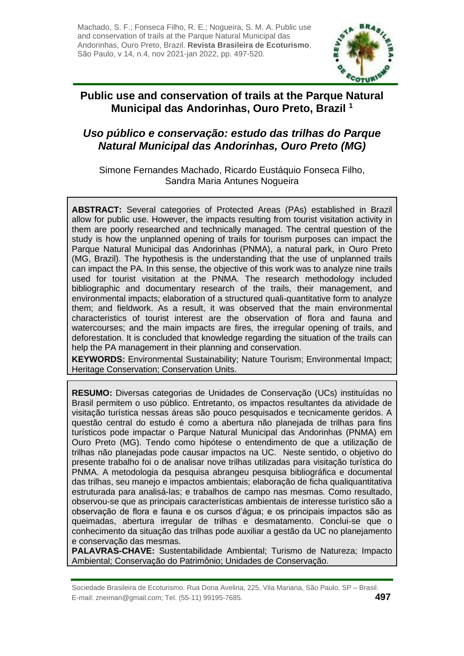Machado, S. F.; Fonseca Filho, R. E.; Nogueira, S. M. A. Public use and conservation of trails at the Parque Natural Municipal das Andorinhas, Ouro Preto, Brazil. **Revista Brasileira de Ecoturismo**, São Paulo, v 14, n.4, nov 2021-jan 2022, pp. 497-520.



## **Public use and conservation of trails at the Parque Natural Municipal das Andorinhas, Ouro Preto, Brazil <sup>1</sup>**

# *Uso público e conservação: estudo das trilhas do Parque Natural Municipal das Andorinhas, Ouro Preto (MG)*

Simone Fernandes Machado, Ricardo Eustáquio Fonseca Filho, Sandra Maria Antunes Nogueira

**ABSTRACT:** Several categories of Protected Areas (PAs) established in Brazil allow for public use. However, the impacts resulting from tourist visitation activity in them are poorly researched and technically managed. The central question of the study is how the unplanned opening of trails for tourism purposes can impact the Parque Natural Municipal das Andorinhas (PNMA), a natural park, in Ouro Preto (MG, Brazil). The hypothesis is the understanding that the use of unplanned trails can impact the PA. In this sense, the objective of this work was to analyze nine trails used for tourist visitation at the PNMA. The research methodology included bibliographic and documentary research of the trails, their management, and environmental impacts; elaboration of a structured quali-quantitative form to analyze them; and fieldwork. As a result, it was observed that the main environmental characteristics of tourist interest are the observation of flora and fauna and watercourses; and the main impacts are fires, the irregular opening of trails, and deforestation. It is concluded that knowledge regarding the situation of the trails can help the PA management in their planning and conservation.

**KEYWORDS:** Environmental Sustainability; Nature Tourism; Environmental Impact; Heritage Conservation; Conservation Units.

**RESUMO:** Diversas categorias de Unidades de Conservação (UCs) instituídas no Brasil permitem o uso público. Entretanto, os impactos resultantes da atividade de visitação turística nessas áreas são pouco pesquisados e tecnicamente geridos. A questão central do estudo é como a abertura não planejada de trilhas para fins turísticos pode impactar o Parque Natural Municipal das Andorinhas (PNMA) em Ouro Preto (MG). Tendo como hipótese o entendimento de que a utilização de trilhas não planejadas pode causar impactos na UC. Neste sentido, o objetivo do presente trabalho foi o de analisar nove trilhas utilizadas para visitação turística do PNMA. A metodologia da pesquisa abrangeu pesquisa bibliográfica e documental das trilhas, seu manejo e impactos ambientais; elaboração de ficha qualiquantitativa estruturada para analisá-las; e trabalhos de campo nas mesmas. Como resultado, observou-se que as principais características ambientais de interesse turístico são a observação de flora e fauna e os cursos d'água; e os principais impactos são as queimadas, abertura irregular de trilhas e desmatamento. Conclui-se que o conhecimento da situação das trilhas pode auxiliar a gestão da UC no planejamento e conservação das mesmas.

**PALAVRAS-CHAVE:** Sustentabilidade Ambiental; Turismo de Natureza; Impacto Ambiental; Conservação do Patrimônio; Unidades de Conservação.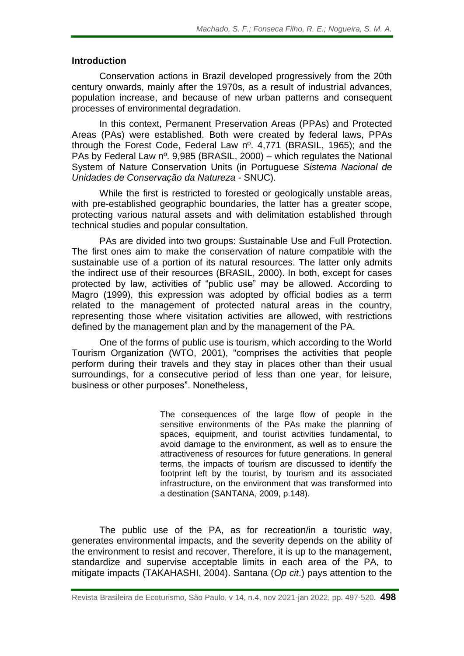#### **Introduction**

Conservation actions in Brazil developed progressively from the 20th century onwards, mainly after the 1970s, as a result of industrial advances, population increase, and because of new urban patterns and consequent processes of environmental degradation.

In this context, Permanent Preservation Areas (PPAs) and Protected Areas (PAs) were established. Both were created by federal laws, PPAs through the Forest Code, Federal Law nº. 4,771 (BRASIL, 1965); and the PAs by Federal Law nº. 9,985 (BRASIL, 2000) – which regulates the National System of Nature Conservation Units (in Portuguese *Sistema Nacional de Unidades de Conservação da Natureza* - SNUC).

While the first is restricted to forested or geologically unstable areas, with pre-established geographic boundaries, the latter has a greater scope, protecting various natural assets and with delimitation established through technical studies and popular consultation.

PAs are divided into two groups: Sustainable Use and Full Protection. The first ones aim to make the conservation of nature compatible with the sustainable use of a portion of its natural resources. The latter only admits the indirect use of their resources (BRASIL, 2000). In both, except for cases protected by law, activities of "public use" may be allowed. According to Magro (1999), this expression was adopted by official bodies as a term related to the management of protected natural areas in the country, representing those where visitation activities are allowed, with restrictions defined by the management plan and by the management of the PA.

One of the forms of public use is tourism, which according to the World Tourism Organization (WTO, 2001), "comprises the activities that people perform during their travels and they stay in places other than their usual surroundings, for a consecutive period of less than one year, for leisure, business or other purposes". Nonetheless,

> The consequences of the large flow of people in the sensitive environments of the PAs make the planning of spaces, equipment, and tourist activities fundamental, to avoid damage to the environment, as well as to ensure the attractiveness of resources for future generations. In general terms, the impacts of tourism are discussed to identify the footprint left by the tourist, by tourism and its associated infrastructure, on the environment that was transformed into a destination (SANTANA, 2009, p.148).

The public use of the PA, as for recreation/in a touristic way, generates environmental impacts, and the severity depends on the ability of the environment to resist and recover. Therefore, it is up to the management, standardize and supervise acceptable limits in each area of the PA, to mitigate impacts (TAKAHASHI, 2004). Santana (*Op cit*.) pays attention to the

Revista Brasileira de Ecoturismo, São Paulo, v 14, n.4, nov 2021-jan 2022, pp. 497-520. **498**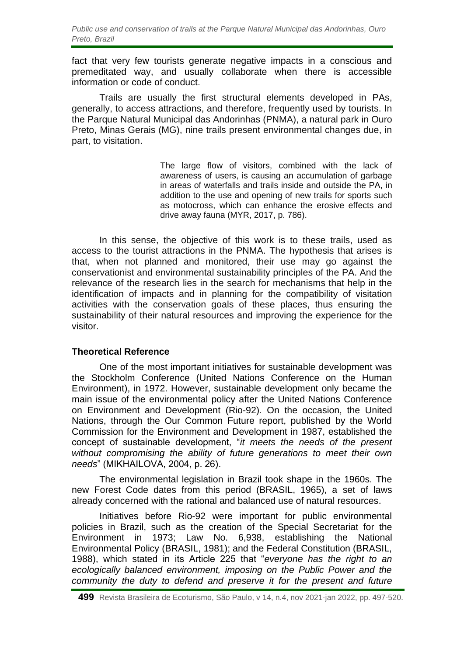*Public use and conservation of trails at the Parque Natural Municipal das Andorinhas, Ouro Preto, Brazil*

fact that very few tourists generate negative impacts in a conscious and premeditated way, and usually collaborate when there is accessible information or code of conduct.

Trails are usually the first structural elements developed in PAs, generally, to access attractions, and therefore, frequently used by tourists. In the Parque Natural Municipal das Andorinhas (PNMA), a natural park in Ouro Preto, Minas Gerais (MG), nine trails present environmental changes due, in part, to visitation.

> The large flow of visitors, combined with the lack of awareness of users, is causing an accumulation of garbage in areas of waterfalls and trails inside and outside the PA, in addition to the use and opening of new trails for sports such as motocross, which can enhance the erosive effects and drive away fauna (MYR, 2017, p. 786).

In this sense, the objective of this work is to these trails, used as access to the tourist attractions in the PNMA. The hypothesis that arises is that, when not planned and monitored, their use may go against the conservationist and environmental sustainability principles of the PA. And the relevance of the research lies in the search for mechanisms that help in the identification of impacts and in planning for the compatibility of visitation activities with the conservation goals of these places, thus ensuring the sustainability of their natural resources and improving the experience for the visitor.

#### **Theoretical Reference**

One of the most important initiatives for sustainable development was the Stockholm Conference (United Nations Conference on the Human Environment), in 1972. However, sustainable development only became the main issue of the environmental policy after the United Nations Conference on Environment and Development (Rio-92). On the occasion, the United Nations, through the Our Common Future report, published by the World Commission for the Environment and Development in 1987, established the concept of sustainable development, "*it meets the needs of the present without compromising the ability of future generations to meet their own needs*" (MIKHAILOVA, 2004, p. 26).

The environmental legislation in Brazil took shape in the 1960s. The new Forest Code dates from this period (BRASIL, 1965), a set of laws already concerned with the rational and balanced use of natural resources.

Initiatives before Rio-92 were important for public environmental policies in Brazil, such as the creation of the Special Secretariat for the Environment in 1973; Law No. 6,938, establishing the National Environmental Policy (BRASIL, 1981); and the Federal Constitution (BRASIL, 1988), which stated in its Article 225 that "*everyone has the right to an ecologically balanced environment, imposing on the Public Power and the community the duty to defend and preserve it for the present and future*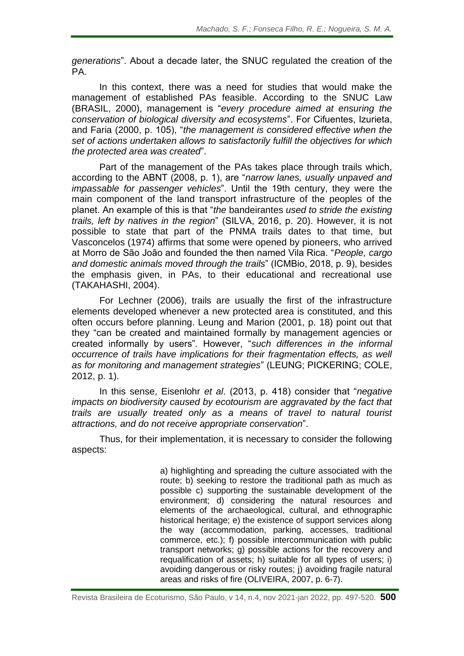*generations*". About a decade later, the SNUC regulated the creation of the PA.

In this context, there was a need for studies that would make the management of established PAs feasible. According to the SNUC Law (BRASIL, 2000), management is "*every procedure aimed at ensuring the conservation of biological diversity and ecosystems*". For Cifuentes, Izurieta, and Faria (2000, p. 105), "*the management is considered effective when the set of actions undertaken allows to satisfactorily fulfill the objectives for which the protected area was created*".

Part of the management of the PAs takes place through trails which, according to the ABNT (2008, p. 1), are "*narrow lanes, usually unpaved and impassable for passenger vehicles*". Until the 19th century, they were the main component of the land transport infrastructure of the peoples of the planet. An example of this is that "*the* bandeirantes *used to stride the existing trails, left by natives in the region*" (SILVA, 2016, p. 20). However, it is not possible to state that part of the PNMA trails dates to that time, but Vasconcelos (1974) affirms that some were opened by pioneers, who arrived at Morro de São João and founded the then named Vila Rica. "*People, cargo and domestic animals moved through the trails*" (ICMBio, 2018, p. 9), besides the emphasis given, in PAs, to their educational and recreational use (TAKAHASHI, 2004).

For Lechner (2006), trails are usually the first of the infrastructure elements developed whenever a new protected area is constituted, and this often occurs before planning. Leung and Marion (2001, p. 18) point out that they "can be created and maintained formally by management agencies or created informally by users". However, "*such differences in the informal occurrence of trails have implications for their fragmentation effects, as well as for monitoring and management strategies*" (LEUNG; PICKERING; COLE, 2012, p. 1).

In this sense, Eisenlohr *et al*. (2013, p. 418) consider that "*negative impacts on biodiversity caused by ecotourism are aggravated by the fact that trails are usually treated only as a means of travel to natural tourist attractions, and do not receive appropriate conservation*".

Thus, for their implementation, it is necessary to consider the following aspects:

> a) highlighting and spreading the culture associated with the route; b) seeking to restore the traditional path as much as possible c) supporting the sustainable development of the environment; d) considering the natural resources and elements of the archaeological, cultural, and ethnographic historical heritage; e) the existence of support services along the way (accommodation, parking, accesses, traditional commerce, etc.); f) possible intercommunication with public transport networks; g) possible actions for the recovery and requalification of assets; h) suitable for all types of users; i) avoiding dangerous or risky routes; j) avoiding fragile natural areas and risks of fire (OLIVEIRA, 2007, p. 6-7).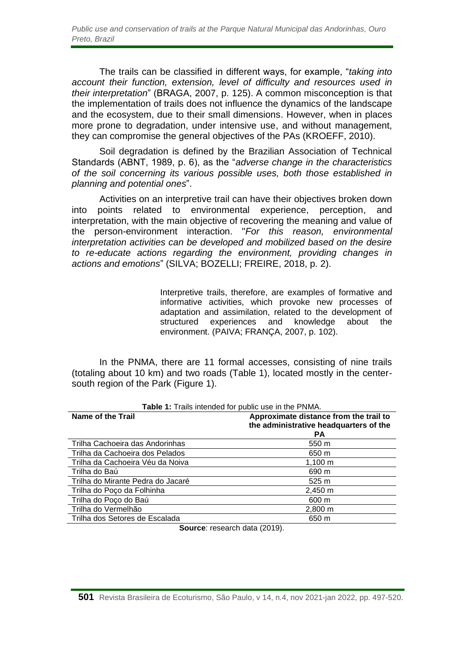*Public use and conservation of trails at the Parque Natural Municipal das Andorinhas, Ouro Preto, Brazil*

The trails can be classified in different ways, for example, "*taking into account their function, extension, level of difficulty and resources used in their interpretation*" (BRAGA, 2007, p. 125). A common misconception is that the implementation of trails does not influence the dynamics of the landscape and the ecosystem, due to their small dimensions. However, when in places more prone to degradation, under intensive use, and without management, they can compromise the general objectives of the PAs (KROEFF, 2010).

Soil degradation is defined by the Brazilian Association of Technical Standards (ABNT, 1989, p. 6), as the "*adverse change in the characteristics of the soil concerning its various possible uses, both those established in planning and potential ones*".

Activities on an interpretive trail can have their objectives broken down into points related to environmental experience, perception, and interpretation, with the main objective of recovering the meaning and value of the person-environment interaction. "*For this reason, environmental interpretation activities can be developed and mobilized based on the desire to re-educate actions regarding the environment, providing changes in actions and emotions*" (SILVA; BOZELLI; FREIRE, 2018, p. 2).

> Interpretive trails, therefore, are examples of formative and informative activities, which provoke new processes of adaptation and assimilation, related to the development of structured experiences and knowledge about the environment. (PAIVA; FRANÇA, 2007, p. 102).

In the PNMA, there are 11 formal accesses, consisting of nine trails (totaling about 10 km) and two roads (Table 1), located mostly in the centersouth region of the Park (Figure 1).

| Name of the Trail                 | Approximate distance from the trail to<br>the administrative headquarters of the<br><b>PA</b> |
|-----------------------------------|-----------------------------------------------------------------------------------------------|
| Trilha Cachoeira das Andorinhas   | 550 m                                                                                         |
| Trilha da Cachoeira dos Pelados   | 650 m                                                                                         |
| Trilha da Cachoeira Véu da Noiva  | $1,100 \; m$                                                                                  |
| Trilha do Baú                     | 690 m                                                                                         |
| Trilha do Mirante Pedra do Jacaré | 525 m                                                                                         |
| Trilha do Poço da Folhinha        | 2,450 m                                                                                       |
| Trilha do Poço do Baú             | 600 m                                                                                         |
| Trilha do Vermelhão               | $2,800 \; m$                                                                                  |
| Trilha dos Setores de Escalada    | 650 m                                                                                         |

**Table 1:** Trails intended for public use in the PNMA.

**Source**: research data (2019).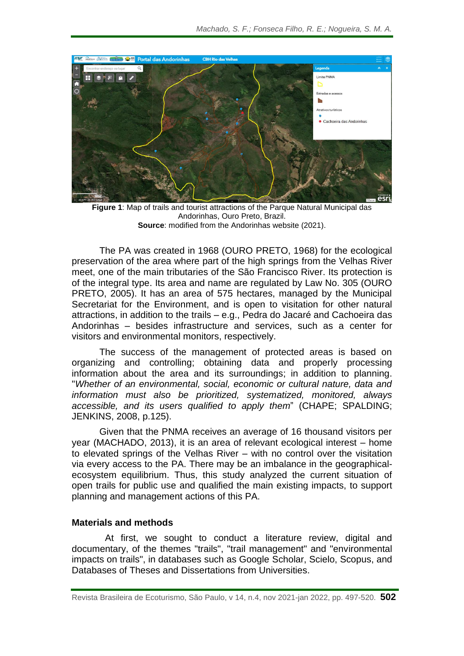

**Figure 1**: Map of trails and tourist attractions of the Parque Natural Municipal das Andorinhas, Ouro Preto, Brazil. **Source**: modified from the Andorinhas website (2021).

The PA was created in 1968 (OURO PRETO, 1968) for the ecological preservation of the area where part of the high springs from the Velhas River meet, one of the main tributaries of the São Francisco River. Its protection is of the integral type. Its area and name are regulated by Law No. 305 (OURO PRETO, 2005). It has an area of 575 hectares, managed by the Municipal Secretariat for the Environment, and is open to visitation for other natural attractions, in addition to the trails – e.g., Pedra do Jacaré and Cachoeira das Andorinhas – besides infrastructure and services, such as a center for visitors and environmental monitors, respectively.

The success of the management of protected areas is based on organizing and controlling; obtaining data and properly processing information about the area and its surroundings; in addition to planning. "*Whether of an environmental, social, economic or cultural nature, data and information must also be prioritized, systematized, monitored, always accessible, and its users qualified to apply them*" (CHAPE; SPALDING; JENKINS, 2008, p.125).

Given that the PNMA receives an average of 16 thousand visitors per year (MACHADO, 2013), it is an area of relevant ecological interest – home to elevated springs of the Velhas River – with no control over the visitation via every access to the PA. There may be an imbalance in the geographicalecosystem equilibrium. Thus, this study analyzed the current situation of open trails for public use and qualified the main existing impacts, to support planning and management actions of this PA.

#### **Materials and methods**

At first, we sought to conduct a literature review, digital and documentary, of the themes "trails", "trail management" and "environmental impacts on trails", in databases such as Google Scholar, Scielo, Scopus, and Databases of Theses and Dissertations from Universities.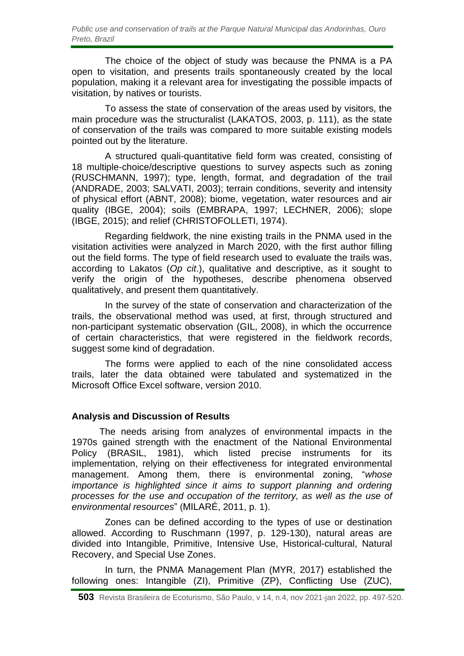The choice of the object of study was because the PNMA is a PA open to visitation, and presents trails spontaneously created by the local population, making it a relevant area for investigating the possible impacts of visitation, by natives or tourists.

To assess the state of conservation of the areas used by visitors, the main procedure was the structuralist (LAKATOS, 2003, p. 111), as the state of conservation of the trails was compared to more suitable existing models pointed out by the literature.

A structured quali-quantitative field form was created, consisting of 18 multiple-choice/descriptive questions to survey aspects such as zoning (RUSCHMANN, 1997); type, length, format, and degradation of the trail (ANDRADE, 2003; SALVATI, 2003); terrain conditions, severity and intensity of physical effort (ABNT, 2008); biome, vegetation, water resources and air quality (IBGE, 2004); soils (EMBRAPA, 1997; LECHNER, 2006); slope (IBGE, 2015); and relief (CHRISTOFOLLETI, 1974).

Regarding fieldwork, the nine existing trails in the PNMA used in the visitation activities were analyzed in March 2020, with the first author filling out the field forms. The type of field research used to evaluate the trails was, according to Lakatos (*Op cit*.), qualitative and descriptive, as it sought to verify the origin of the hypotheses, describe phenomena observed qualitatively, and present them quantitatively.

In the survey of the state of conservation and characterization of the trails, the observational method was used, at first, through structured and non-participant systematic observation (GIL, 2008), in which the occurrence of certain characteristics, that were registered in the fieldwork records, suggest some kind of degradation.

The forms were applied to each of the nine consolidated access trails, later the data obtained were tabulated and systematized in the Microsoft Office Excel software, version 2010.

## **Analysis and Discussion of Results**

The needs arising from analyzes of environmental impacts in the 1970s gained strength with the enactment of the National Environmental Policy (BRASIL, 1981), which listed precise instruments for its implementation, relying on their effectiveness for integrated environmental management. Among them, there is environmental zoning, "*whose importance is highlighted since it aims to support planning and ordering processes for the use and occupation of the territory, as well as the use of environmental resources*" (MILARÉ, 2011, p. 1).

Zones can be defined according to the types of use or destination allowed. According to Ruschmann (1997, p. 129-130), natural areas are divided into Intangible, Primitive, Intensive Use, Historical-cultural, Natural Recovery, and Special Use Zones.

In turn, the PNMA Management Plan (MYR, 2017) established the following ones: Intangible (ZI), Primitive (ZP), Conflicting Use (ZUC),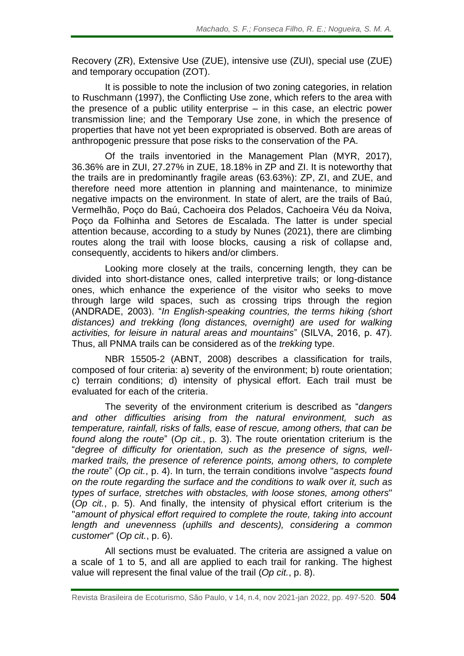Recovery (ZR), Extensive Use (ZUE), intensive use (ZUI), special use (ZUE) and temporary occupation (ZOT).

It is possible to note the inclusion of two zoning categories, in relation to Ruschmann (1997), the Conflicting Use zone, which refers to the area with the presence of a public utility enterprise – in this case, an electric power transmission line; and the Temporary Use zone, in which the presence of properties that have not yet been expropriated is observed. Both are areas of anthropogenic pressure that pose risks to the conservation of the PA.

Of the trails inventoried in the Management Plan (MYR, 2017), 36.36% are in ZUI, 27.27% in ZUE, 18.18% in ZP and ZI. It is noteworthy that the trails are in predominantly fragile areas (63.63%): ZP, ZI, and ZUE, and therefore need more attention in planning and maintenance, to minimize negative impacts on the environment. In state of alert, are the trails of Baú, Vermelhão, Poço do Baú, Cachoeira dos Pelados, Cachoeira Véu da Noiva, Poço da Folhinha and Setores de Escalada. The latter is under special attention because, according to a study by Nunes (2021), there are climbing routes along the trail with loose blocks, causing a risk of collapse and, consequently, accidents to hikers and/or climbers.

Looking more closely at the trails, concerning length, they can be divided into short-distance ones, called interpretive trails; or long-distance ones, which enhance the experience of the visitor who seeks to move through large wild spaces, such as crossing trips through the region (ANDRADE, 2003). "*In English-speaking countries, the terms hiking (short distances) and trekking (long distances, overnight) are used for walking activities, for leisure in natural areas and mountains*" (SILVA, 2016, p. 47). Thus, all PNMA trails can be considered as of the *trekking* type.

NBR 15505-2 (ABNT, 2008) describes a classification for trails, composed of four criteria: a) severity of the environment; b) route orientation; c) terrain conditions; d) intensity of physical effort. Each trail must be evaluated for each of the criteria.

The severity of the environment criterium is described as "*dangers and other difficulties arising from the natural environment, such as temperature, rainfall, risks of falls, ease of rescue, among others, that can be found along the route*" (*Op cit.*, p. 3). The route orientation criterium is the "*degree of difficulty for orientation, such as the presence of signs, wellmarked trails, the presence of reference points, among others, to complete the route*" (*Op cit.*, p. 4). In turn, the terrain conditions involve "*aspects found on the route regarding the surface and the conditions to walk over it, such as types of surface, stretches with obstacles, with loose stones, among others*" (*Op cit.*, p. 5). And finally, the intensity of physical effort criterium is the "*amount of physical effort required to complete the route, taking into account length and unevenness (uphills and descents), considering a common customer*" (*Op cit.*, p. 6).

All sections must be evaluated. The criteria are assigned a value on a scale of 1 to 5, and all are applied to each trail for ranking. The highest value will represent the final value of the trail (*Op cit.*, p. 8).

Revista Brasileira de Ecoturismo, São Paulo, v 14, n.4, nov 2021-jan 2022, pp. 497-520. **504**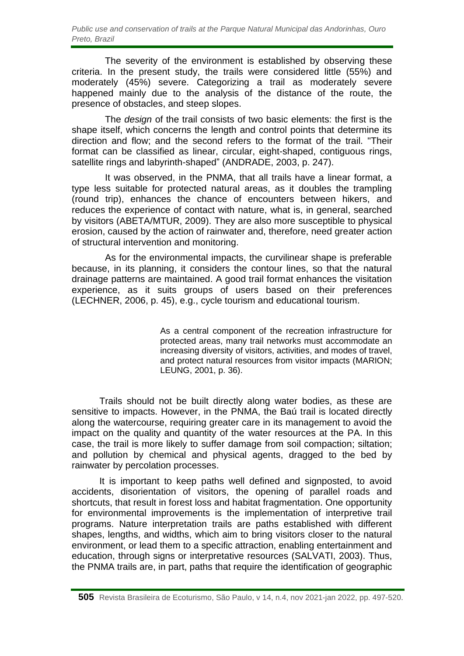The severity of the environment is established by observing these criteria. In the present study, the trails were considered little (55%) and moderately (45%) severe. Categorizing a trail as moderately severe happened mainly due to the analysis of the distance of the route, the presence of obstacles, and steep slopes.

The *design* of the trail consists of two basic elements: the first is the shape itself, which concerns the length and control points that determine its direction and flow; and the second refers to the format of the trail. "Their format can be classified as linear, circular, eight-shaped, contiguous rings, satellite rings and labyrinth-shaped" (ANDRADE, 2003, p. 247).

It was observed, in the PNMA, that all trails have a linear format, a type less suitable for protected natural areas, as it doubles the trampling (round trip), enhances the chance of encounters between hikers, and reduces the experience of contact with nature, what is, in general, searched by visitors (ABETA/MTUR, 2009). They are also more susceptible to physical erosion, caused by the action of rainwater and, therefore, need greater action of structural intervention and monitoring.

As for the environmental impacts, the curvilinear shape is preferable because, in its planning, it considers the contour lines, so that the natural drainage patterns are maintained. A good trail format enhances the visitation experience, as it suits groups of users based on their preferences (LECHNER, 2006, p. 45), e.g., cycle tourism and educational tourism.

> As a central component of the recreation infrastructure for protected areas, many trail networks must accommodate an increasing diversity of visitors, activities, and modes of travel, and protect natural resources from visitor impacts (MARION; LEUNG, 2001, p. 36).

Trails should not be built directly along water bodies, as these are sensitive to impacts. However, in the PNMA, the Baú trail is located directly along the watercourse, requiring greater care in its management to avoid the impact on the quality and quantity of the water resources at the PA. In this case, the trail is more likely to suffer damage from soil compaction; siltation; and pollution by chemical and physical agents, dragged to the bed by rainwater by percolation processes.

It is important to keep paths well defined and signposted, to avoid accidents, disorientation of visitors, the opening of parallel roads and shortcuts, that result in forest loss and habitat fragmentation. One opportunity for environmental improvements is the implementation of interpretive trail programs. Nature interpretation trails are paths established with different shapes, lengths, and widths, which aim to bring visitors closer to the natural environment, or lead them to a specific attraction, enabling entertainment and education, through signs or interpretative resources (SALVATI, 2003). Thus, the PNMA trails are, in part, paths that require the identification of geographic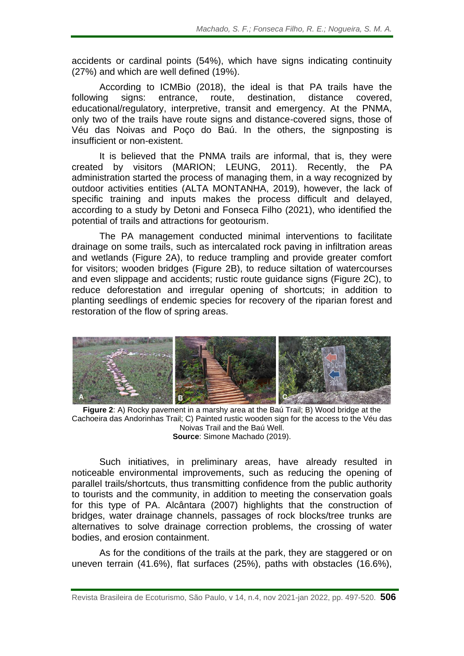accidents or cardinal points (54%), which have signs indicating continuity (27%) and which are well defined (19%).

According to ICMBio (2018), the ideal is that PA trails have the following signs: entrance, route, destination, distance covered, educational/regulatory, interpretive, transit and emergency. At the PNMA, only two of the trails have route signs and distance-covered signs, those of Véu das Noivas and Poço do Baú. In the others, the signposting is insufficient or non-existent.

It is believed that the PNMA trails are informal, that is, they were created by visitors (MARION; LEUNG, 2011). Recently, the PA administration started the process of managing them, in a way recognized by outdoor activities entities (ALTA MONTANHA, 2019), however, the lack of specific training and inputs makes the process difficult and delayed, according to a study by Detoni and Fonseca Filho (2021), who identified the potential of trails and attractions for geotourism.

The PA management conducted minimal interventions to facilitate drainage on some trails, such as intercalated rock paving in infiltration areas and wetlands (Figure 2A), to reduce trampling and provide greater comfort for visitors; wooden bridges (Figure 2B), to reduce siltation of watercourses and even slippage and accidents; rustic route guidance signs (Figure 2C), to reduce deforestation and irregular opening of shortcuts; in addition to planting seedlings of endemic species for recovery of the riparian forest and restoration of the flow of spring areas.



**Figure 2**: A) Rocky pavement in a marshy area at the Baú Trail; B) Wood bridge at the Cachoeira das Andorinhas Trail; C) Painted rustic wooden sign for the access to the Véu das Noivas Trail and the Baú Well. **Source**: Simone Machado (2019).

Such initiatives, in preliminary areas, have already resulted in noticeable environmental improvements, such as reducing the opening of parallel trails/shortcuts, thus transmitting confidence from the public authority to tourists and the community, in addition to meeting the conservation goals for this type of PA. Alcântara (2007) highlights that the construction of bridges, water drainage channels, passages of rock blocks/tree trunks are alternatives to solve drainage correction problems, the crossing of water bodies, and erosion containment.

As for the conditions of the trails at the park, they are staggered or on uneven terrain (41.6%), flat surfaces (25%), paths with obstacles (16.6%),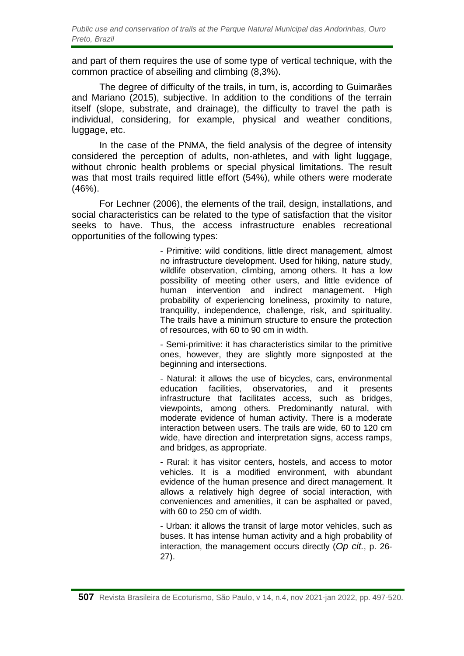and part of them requires the use of some type of vertical technique, with the common practice of abseiling and climbing (8,3%).

The degree of difficulty of the trails, in turn, is, according to Guimarães and Mariano (2015), subjective. In addition to the conditions of the terrain itself (slope, substrate, and drainage), the difficulty to travel the path is individual, considering, for example, physical and weather conditions, luggage, etc.

In the case of the PNMA, the field analysis of the degree of intensity considered the perception of adults, non-athletes, and with light luggage, without chronic health problems or special physical limitations. The result was that most trails required little effort (54%), while others were moderate (46%).

For Lechner (2006), the elements of the trail, design, installations, and social characteristics can be related to the type of satisfaction that the visitor seeks to have. Thus, the access infrastructure enables recreational opportunities of the following types:

> - Primitive: wild conditions, little direct management, almost no infrastructure development. Used for hiking, nature study, wildlife observation, climbing, among others. It has a low possibility of meeting other users, and little evidence of human intervention and indirect management. High probability of experiencing loneliness, proximity to nature, tranquility, independence, challenge, risk, and spirituality. The trails have a minimum structure to ensure the protection of resources, with 60 to 90 cm in width.

> - Semi-primitive: it has characteristics similar to the primitive ones, however, they are slightly more signposted at the beginning and intersections.

> - Natural: it allows the use of bicycles, cars, environmental education facilities, observatories, and it presents infrastructure that facilitates access, such as bridges, viewpoints, among others. Predominantly natural, with moderate evidence of human activity. There is a moderate interaction between users. The trails are wide, 60 to 120 cm wide, have direction and interpretation signs, access ramps, and bridges, as appropriate.

> - Rural: it has visitor centers, hostels, and access to motor vehicles. It is a modified environment, with abundant evidence of the human presence and direct management. It allows a relatively high degree of social interaction, with conveniences and amenities, it can be asphalted or paved, with 60 to 250 cm of width.

> - Urban: it allows the transit of large motor vehicles, such as buses. It has intense human activity and a high probability of interaction, the management occurs directly (*Op cit.*, p. 26- 27).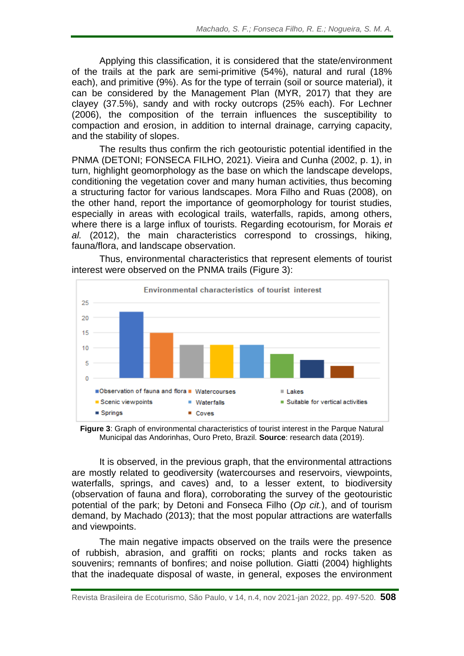Applying this classification, it is considered that the state/environment of the trails at the park are semi-primitive (54%), natural and rural (18% each), and primitive (9%). As for the type of terrain (soil or source material), it can be considered by the Management Plan (MYR, 2017) that they are clayey (37.5%), sandy and with rocky outcrops (25% each). For Lechner (2006), the composition of the terrain influences the susceptibility to compaction and erosion, in addition to internal drainage, carrying capacity, and the stability of slopes.

The results thus confirm the rich geotouristic potential identified in the PNMA (DETONI; FONSECA FILHO, 2021). Vieira and Cunha (2002, p. 1), in turn, highlight geomorphology as the base on which the landscape develops, conditioning the vegetation cover and many human activities, thus becoming a structuring factor for various landscapes. Mora Filho and Ruas (2008), on the other hand, report the importance of geomorphology for tourist studies, especially in areas with ecological trails, waterfalls, rapids, among others, where there is a large influx of tourists. Regarding ecotourism, for Morais *et al.* (2012), the main characteristics correspond to crossings, hiking, fauna/flora, and landscape observation.



Thus, environmental characteristics that represent elements of tourist interest were observed on the PNMA trails (Figure 3):

**Figure 3**: Graph of environmental characteristics of tourist interest in the Parque Natural Municipal das Andorinhas, Ouro Preto, Brazil. **Source**: research data (2019).

It is observed, in the previous graph, that the environmental attractions are mostly related to geodiversity (watercourses and reservoirs, viewpoints, waterfalls, springs, and caves) and, to a lesser extent, to biodiversity (observation of fauna and flora), corroborating the survey of the geotouristic potential of the park; by Detoni and Fonseca Filho (*Op cit.*), and of tourism demand, by Machado (2013); that the most popular attractions are waterfalls and viewpoints.

The main negative impacts observed on the trails were the presence of rubbish, abrasion, and graffiti on rocks; plants and rocks taken as souvenirs; remnants of bonfires; and noise pollution. Giatti (2004) highlights that the inadequate disposal of waste, in general, exposes the environment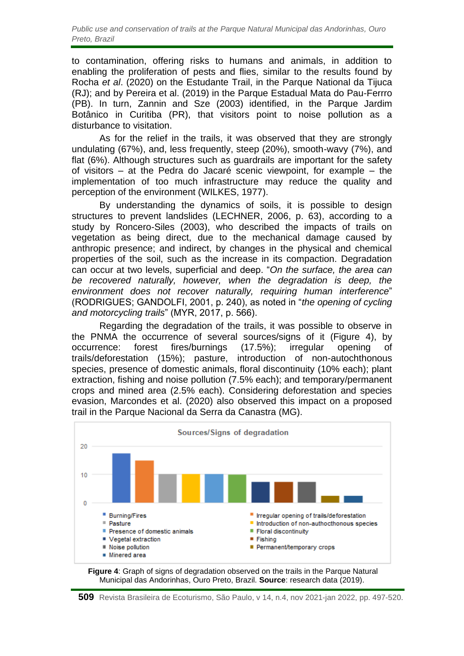to contamination, offering risks to humans and animals, in addition to enabling the proliferation of pests and flies, similar to the results found by Rocha *et al*. (2020) on the Estudante Trail, in the Parque National da Tijuca (RJ); and by Pereira et al. (2019) in the Parque Estadual Mata do Pau-Ferrro (PB). In turn, Zannin and Sze (2003) identified, in the Parque Jardim Botânico in Curitiba (PR), that visitors point to noise pollution as a disturbance to visitation.

As for the relief in the trails, it was observed that they are strongly undulating (67%), and, less frequently, steep (20%), smooth-wavy (7%), and flat (6%). Although structures such as guardrails are important for the safety of visitors – at the Pedra do Jacaré scenic viewpoint, for example – the implementation of too much infrastructure may reduce the quality and perception of the environment (WILKES, 1977).

By understanding the dynamics of soils, it is possible to design structures to prevent landslides (LECHNER, 2006, p. 63), according to a study by Roncero-Siles (2003), who described the impacts of trails on vegetation as being direct, due to the mechanical damage caused by anthropic presence; and indirect, by changes in the physical and chemical properties of the soil, such as the increase in its compaction. Degradation can occur at two levels, superficial and deep. "*On the surface, the area can be recovered naturally, however, when the degradation is deep, the environment does not recover naturally, requiring human interference*" (RODRIGUES; GANDOLFI, 2001, p. 240), as noted in "*the opening of cycling and motorcycling trails*" (MYR, 2017, p. 566).

Regarding the degradation of the trails, it was possible to observe in the PNMA the occurrence of several sources/signs of it (Figure 4), by occurrence: forest fires/burnings (17.5%); irregular opening of trails/deforestation (15%); pasture, introduction of non-autochthonous species, presence of domestic animals, floral discontinuity (10% each); plant extraction, fishing and noise pollution (7.5% each); and temporary/permanent crops and mined area (2.5% each). Considering deforestation and species evasion, Marcondes et al. (2020) also observed this impact on a proposed trail in the Parque Nacional da Serra da Canastra (MG).



**Figure 4**: Graph of signs of degradation observed on the trails in the Parque Natural Municipal das Andorinhas, Ouro Preto, Brazil. **Source**: research data (2019).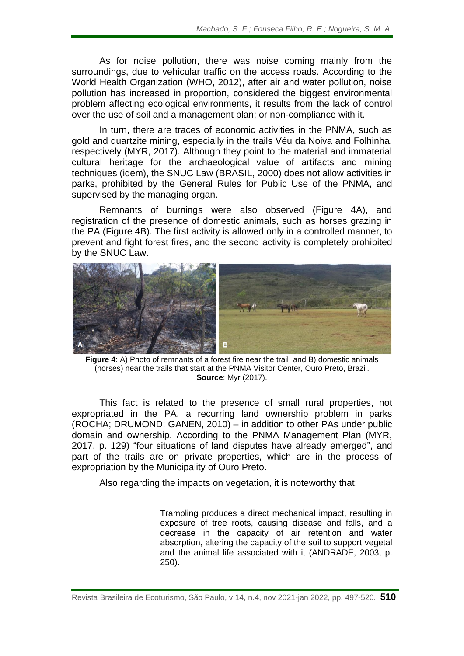As for noise pollution, there was noise coming mainly from the surroundings, due to vehicular traffic on the access roads. According to the World Health Organization (WHO, 2012), after air and water pollution, noise pollution has increased in proportion, considered the biggest environmental problem affecting ecological environments, it results from the lack of control over the use of soil and a management plan; or non-compliance with it.

In turn, there are traces of economic activities in the PNMA, such as gold and quartzite mining, especially in the trails Véu da Noiva and Folhinha, respectively (MYR, 2017). Although they point to the material and immaterial cultural heritage for the archaeological value of artifacts and mining techniques (idem), the SNUC Law (BRASIL, 2000) does not allow activities in parks, prohibited by the General Rules for Public Use of the PNMA, and supervised by the managing organ.

Remnants of burnings were also observed (Figure 4A), and registration of the presence of domestic animals, such as horses grazing in the PA (Figure 4B). The first activity is allowed only in a controlled manner, to prevent and fight forest fires, and the second activity is completely prohibited by the SNUC Law.



**Figure 4**: A) Photo of remnants of a forest fire near the trail; and B) domestic animals (horses) near the trails that start at the PNMA Visitor Center, Ouro Preto, Brazil. **Source**: Myr (2017).

This fact is related to the presence of small rural properties, not expropriated in the PA, a recurring land ownership problem in parks (ROCHA; DRUMOND; GANEN, 2010) – in addition to other PAs under public domain and ownership. According to the PNMA Management Plan (MYR, 2017, p. 129) "four situations of land disputes have already emerged", and part of the trails are on private properties, which are in the process of expropriation by the Municipality of Ouro Preto.

Also regarding the impacts on vegetation, it is noteworthy that:

Trampling produces a direct mechanical impact, resulting in exposure of tree roots, causing disease and falls, and a decrease in the capacity of air retention and water absorption, altering the capacity of the soil to support vegetal and the animal life associated with it (ANDRADE, 2003, p. 250).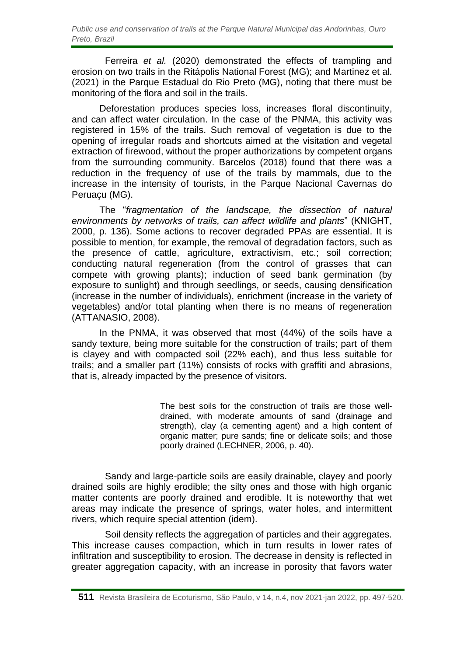Ferreira *et al.* (2020) demonstrated the effects of trampling and erosion on two trails in the Ritápolis National Forest (MG); and Martinez et al. (2021) in the Parque Estadual do Rio Preto (MG), noting that there must be monitoring of the flora and soil in the trails.

Deforestation produces species loss, increases floral discontinuity, and can affect water circulation. In the case of the PNMA, this activity was registered in 15% of the trails. Such removal of vegetation is due to the opening of irregular roads and shortcuts aimed at the visitation and vegetal extraction of firewood, without the proper authorizations by competent organs from the surrounding community. Barcelos (2018) found that there was a reduction in the frequency of use of the trails by mammals, due to the increase in the intensity of tourists, in the Parque Nacional Cavernas do Peruaçu (MG).

The "*fragmentation of the landscape, the dissection of natural environments by networks of trails, can affect wildlife and plants*" (KNIGHT, 2000, p. 136). Some actions to recover degraded PPAs are essential. It is possible to mention, for example, the removal of degradation factors, such as the presence of cattle, agriculture, extractivism, etc.; soil correction; conducting natural regeneration (from the control of grasses that can compete with growing plants); induction of seed bank germination (by exposure to sunlight) and through seedlings, or seeds, causing densification (increase in the number of individuals), enrichment (increase in the variety of vegetables) and/or total planting when there is no means of regeneration (ATTANASIO, 2008).

In the PNMA, it was observed that most (44%) of the soils have a sandy texture, being more suitable for the construction of trails; part of them is clayey and with compacted soil (22% each), and thus less suitable for trails; and a smaller part (11%) consists of rocks with graffiti and abrasions, that is, already impacted by the presence of visitors.

> The best soils for the construction of trails are those welldrained, with moderate amounts of sand (drainage and strength), clay (a cementing agent) and a high content of organic matter; pure sands; fine or delicate soils; and those poorly drained (LECHNER, 2006, p. 40).

Sandy and large-particle soils are easily drainable, clayey and poorly drained soils are highly erodible; the silty ones and those with high organic matter contents are poorly drained and erodible. It is noteworthy that wet areas may indicate the presence of springs, water holes, and intermittent rivers, which require special attention (idem).

Soil density reflects the aggregation of particles and their aggregates. This increase causes compaction, which in turn results in lower rates of infiltration and susceptibility to erosion. The decrease in density is reflected in greater aggregation capacity, with an increase in porosity that favors water

**<sup>511</sup>** Revista Brasileira de Ecoturismo, São Paulo, v 14, n.4, nov 2021-jan 2022, pp. 497-520.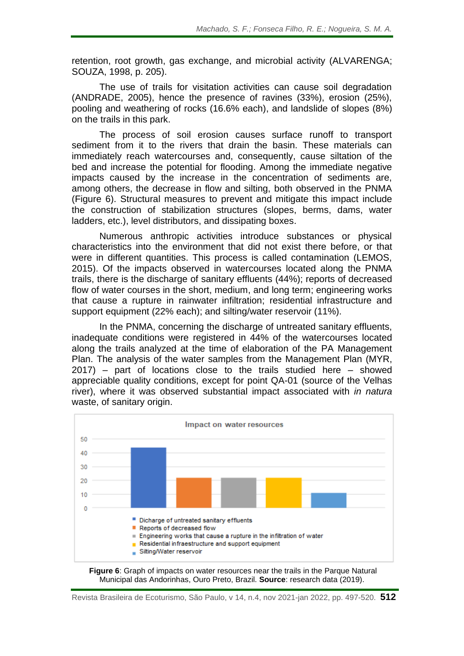retention, root growth, gas exchange, and microbial activity (ALVARENGA; SOUZA, 1998, p. 205).

The use of trails for visitation activities can cause soil degradation (ANDRADE, 2005), hence the presence of ravines (33%), erosion (25%), pooling and weathering of rocks (16.6% each), and landslide of slopes (8%) on the trails in this park.

The process of soil erosion causes surface runoff to transport sediment from it to the rivers that drain the basin. These materials can immediately reach watercourses and, consequently, cause siltation of the bed and increase the potential for flooding. Among the immediate negative impacts caused by the increase in the concentration of sediments are, among others, the decrease in flow and silting, both observed in the PNMA (Figure 6). Structural measures to prevent and mitigate this impact include the construction of stabilization structures (slopes, berms, dams, water ladders, etc.), level distributors, and dissipating boxes.

Numerous anthropic activities introduce substances or physical characteristics into the environment that did not exist there before, or that were in different quantities. This process is called contamination (LEMOS, 2015). Of the impacts observed in watercourses located along the PNMA trails, there is the discharge of sanitary effluents (44%); reports of decreased flow of water courses in the short, medium, and long term; engineering works that cause a rupture in rainwater infiltration; residential infrastructure and support equipment (22% each); and silting/water reservoir (11%).

In the PNMA, concerning the discharge of untreated sanitary effluents, inadequate conditions were registered in 44% of the watercourses located along the trails analyzed at the time of elaboration of the PA Management Plan. The analysis of the water samples from the Management Plan (MYR, 2017) – part of locations close to the trails studied here – showed appreciable quality conditions, except for point QA-01 (source of the Velhas river), where it was observed substantial impact associated with *in natura* waste, of sanitary origin.



**Figure 6**: Graph of impacts on water resources near the trails in the Parque Natural Municipal das Andorinhas, Ouro Preto, Brazil. **Source**: research data (2019).

Revista Brasileira de Ecoturismo, São Paulo, v 14, n.4, nov 2021-jan 2022, pp. 497-520. **512**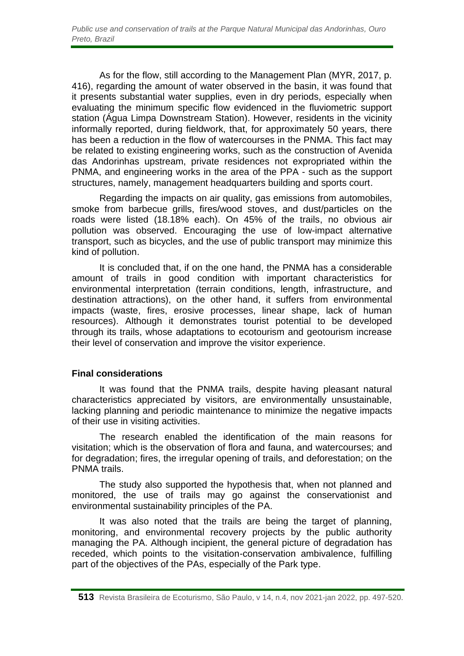As for the flow, still according to the Management Plan (MYR, 2017, p. 416), regarding the amount of water observed in the basin, it was found that it presents substantial water supplies, even in dry periods, especially when evaluating the minimum specific flow evidenced in the fluviometric support station (Água Limpa Downstream Station). However, residents in the vicinity informally reported, during fieldwork, that, for approximately 50 years, there has been a reduction in the flow of watercourses in the PNMA. This fact may be related to existing engineering works, such as the construction of Avenida das Andorinhas upstream, private residences not expropriated within the PNMA, and engineering works in the area of the PPA - such as the support structures, namely, management headquarters building and sports court.

Regarding the impacts on air quality, gas emissions from automobiles, smoke from barbecue grills, fires/wood stoves, and dust/particles on the roads were listed (18.18% each). On 45% of the trails, no obvious air pollution was observed. Encouraging the use of low-impact alternative transport, such as bicycles, and the use of public transport may minimize this kind of pollution.

It is concluded that, if on the one hand, the PNMA has a considerable amount of trails in good condition with important characteristics for environmental interpretation (terrain conditions, length, infrastructure, and destination attractions), on the other hand, it suffers from environmental impacts (waste, fires, erosive processes, linear shape, lack of human resources). Although it demonstrates tourist potential to be developed through its trails, whose adaptations to ecotourism and geotourism increase their level of conservation and improve the visitor experience.

## **Final considerations**

It was found that the PNMA trails, despite having pleasant natural characteristics appreciated by visitors, are environmentally unsustainable, lacking planning and periodic maintenance to minimize the negative impacts of their use in visiting activities.

The research enabled the identification of the main reasons for visitation; which is the observation of flora and fauna, and watercourses; and for degradation; fires, the irregular opening of trails, and deforestation; on the PNMA trails.

The study also supported the hypothesis that, when not planned and monitored, the use of trails may go against the conservationist and environmental sustainability principles of the PA.

It was also noted that the trails are being the target of planning, monitoring, and environmental recovery projects by the public authority managing the PA. Although incipient, the general picture of degradation has receded, which points to the visitation-conservation ambivalence, fulfilling part of the objectives of the PAs, especially of the Park type.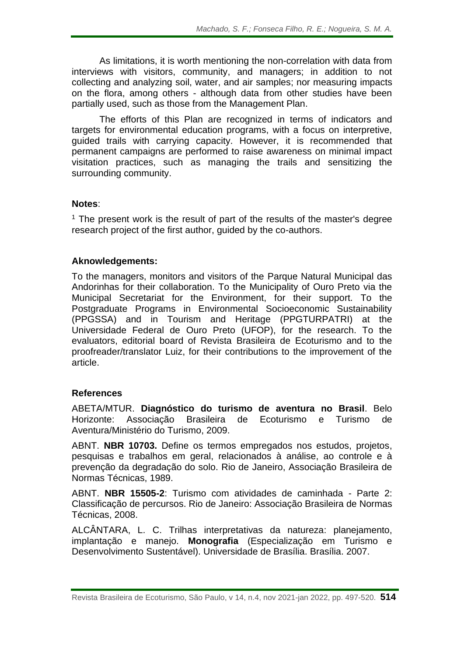As limitations, it is worth mentioning the non-correlation with data from interviews with visitors, community, and managers; in addition to not collecting and analyzing soil, water, and air samples; nor measuring impacts on the flora, among others - although data from other studies have been partially used, such as those from the Management Plan.

The efforts of this Plan are recognized in terms of indicators and targets for environmental education programs, with a focus on interpretive, guided trails with carrying capacity. However, it is recommended that permanent campaigns are performed to raise awareness on minimal impact visitation practices, such as managing the trails and sensitizing the surrounding community.

## **Notes**:

 $<sup>1</sup>$  The present work is the result of part of the results of the master's degree</sup> research project of the first author, guided by the co-authors.

## **Aknowledgements:**

To the managers, monitors and visitors of the Parque Natural Municipal das Andorinhas for their collaboration. To the Municipality of Ouro Preto via the Municipal Secretariat for the Environment, for their support. To the Postgraduate Programs in Environmental Socioeconomic Sustainability (PPGSSA) and in Tourism and Heritage (PPGTURPATRI) at the Universidade Federal de Ouro Preto (UFOP), for the research. To the evaluators, editorial board of Revista Brasileira de Ecoturismo and to the proofreader/translator Luiz, for their contributions to the improvement of the article.

#### **References**

ABETA/MTUR. **Diagnóstico do turismo de aventura no Brasil**. Belo Horizonte: Associação Brasileira de Ecoturismo e Turismo de Aventura/Ministério do Turismo, 2009.

ABNT. **NBR 10703.** Define os termos empregados nos estudos, projetos, pesquisas e trabalhos em geral, relacionados à análise, ao controle e à prevenção da degradação do solo. Rio de Janeiro, Associação Brasileira de Normas Técnicas, 1989.

ABNT. **NBR 15505-2**: Turismo com atividades de caminhada - Parte 2: Classificação de percursos. Rio de Janeiro: Associação Brasileira de Normas Técnicas, 2008.

ALCÂNTARA, L. C. Trilhas interpretativas da natureza: planejamento, implantação e manejo. **Monografia** (Especialização em Turismo e Desenvolvimento Sustentável). Universidade de Brasília. Brasília. 2007.

Revista Brasileira de Ecoturismo, São Paulo, v 14, n.4, nov 2021-jan 2022, pp. 497-520. **514**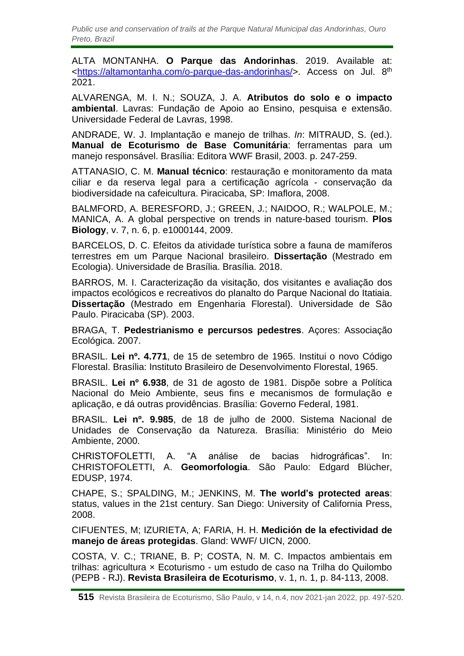*Public use and conservation of trails at the Parque Natural Municipal das Andorinhas, Ouro Preto, Brazil*

ALTA MONTANHA. **O Parque das Andorinhas**. 2019. Available at: [<https://altamontanha.com/o-parque-das-andorinhas/>](https://altamontanha.com/o-parque-das-andorinhas/). Access on Jul. 8<sup>th</sup> 2021.

ALVARENGA, M. I. N.; SOUZA, J. A. **Atributos do solo e o impacto ambiental**. Lavras: Fundação de Apoio ao Ensino, pesquisa e extensão. Universidade Federal de Lavras, 1998.

ANDRADE, W. J. Implantação e manejo de trilhas. *In*: MITRAUD, S. (ed.). **Manual de Ecoturismo de Base Comunitária**: ferramentas para um manejo responsável. Brasília: Editora WWF Brasil, 2003. p. 247-259.

ATTANASIO, C. M. **Manual técnico**: restauração e monitoramento da mata ciliar e da reserva legal para a certificação agrícola - conservação da biodiversidade na cafeicultura. Piracicaba, SP: Imaflora, 2008.

BALMFORD, A. BERESFORD, J.; GREEN, J.; NAIDOO, R.; WALPOLE, M.; MANICA, A. A global perspective on trends in nature-based tourism. **Plos Biology**, v. 7, n. 6, p. e1000144, 2009.

BARCELOS, D. C. Efeitos da atividade turística sobre a fauna de mamíferos terrestres em um Parque Nacional brasileiro. **Dissertação** (Mestrado em Ecologia). Universidade de Brasília. Brasília. 2018.

BARROS, M. I. Caracterização da visitação, dos visitantes e avaliação dos impactos ecológicos e recreativos do planalto do Parque Nacional do Itatiaia. **Dissertação** (Mestrado em Engenharia Florestal). Universidade de São Paulo. Piracicaba (SP). 2003.

BRAGA, T. **Pedestrianismo e percursos pedestres**. Açores: Associação Ecológica. 2007.

BRASIL. **Lei nº. 4.771**, de 15 de setembro de 1965. Institui o novo Código Florestal. Brasília: Instituto Brasileiro de Desenvolvimento Florestal, 1965.

BRASIL. **Lei nº 6.938**, de 31 de agosto de 1981. Dispõe sobre a Política Nacional do Meio Ambiente, seus fins e mecanismos de formulação e aplicação, e dá outras providências. Brasília: Governo Federal, 1981.

BRASIL. **Lei nº. 9.985**, de 18 de julho de 2000. Sistema Nacional de Unidades de Conservação da Natureza. Brasília: Ministério do Meio Ambiente, 2000.

CHRISTOFOLETTI, A. "A análise de bacias hidrográficas". In: CHRISTOFOLETTI, A. **Geomorfologia**. São Paulo: Edgard Blücher, EDUSP, 1974.

CHAPE, S.; SPALDING, M.; JENKINS, M. **The world's protected areas**: status, values in the 21st century. San Diego: University of California Press, 2008.

CIFUENTES, M; IZURIETA, A; FARIA, H. H. **Medición de la efectividad de manejo de áreas protegidas**. Gland: WWF/ UICN, 2000.

COSTA, V. C.; TRIANE, B. P; COSTA, N. M. C. Impactos ambientais em trilhas: agricultura × Ecoturismo - um estudo de caso na Trilha do Quilombo (PEPB - RJ). **Revista Brasileira de Ecoturismo**, v. 1, n. 1, p. 84-113, 2008.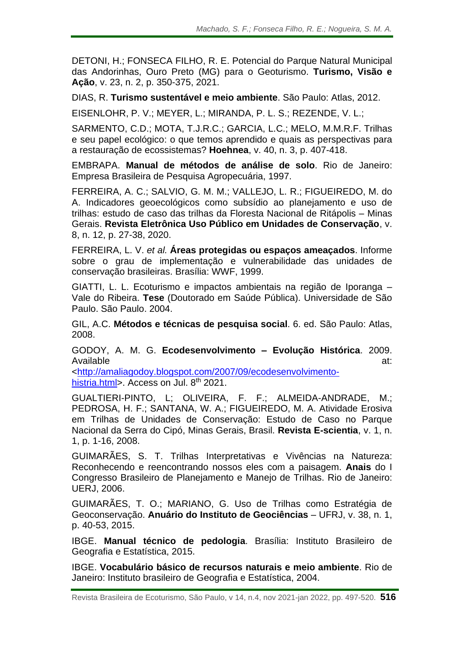DETONI, H.; FONSECA FILHO, R. E. Potencial do Parque Natural Municipal das Andorinhas, Ouro Preto (MG) para o Geoturismo. **Turismo, Visão e Ação**, v. 23, n. 2, p. 350-375, 2021.

DIAS, R. **Turismo sustentável e meio ambiente**. São Paulo: Atlas, 2012.

EISENLOHR, P. V.; MEYER, L.; MIRANDA, P. L. S.; REZENDE, V. L.;

SARMENTO, C.D.; MOTA, T.J.R.C.; GARCIA, L.C.; MELO, M.M.R.F. Trilhas e seu papel ecológico: o que temos aprendido e quais as perspectivas para a restauração de ecossistemas? **Hoehnea**, v. 40, n. 3, p. 407-418.

EMBRAPA. **Manual de métodos de análise de solo**. Rio de Janeiro: Empresa Brasileira de Pesquisa Agropecuária, 1997.

FERREIRA, A. C.; SALVIO, G. M. M.; VALLEJO, L. R.; FIGUEIREDO, M. do A. Indicadores geoecológicos como subsídio ao planejamento e uso de trilhas: estudo de caso das trilhas da Floresta Nacional de Ritápolis – Minas Gerais. **Revista Eletrônica Uso Público em Unidades de Conservação**, v. 8, n. 12, p. 27-38, 2020.

FERREIRA, L. V. *et al.* **Áreas protegidas ou espaços ameaçados**. Informe sobre o grau de implementação e vulnerabilidade das unidades de conservação brasileiras. Brasília: WWF, 1999.

GIATTI, L. L. Ecoturismo e impactos ambientais na região de Iporanga – Vale do Ribeira. **Tese** (Doutorado em Saúde Pública). Universidade de São Paulo. São Paulo. 2004.

GIL, A.C. **Métodos e técnicas de pesquisa social**. 6. ed. São Paulo: Atlas, 2008.

GODOY, A. M. G. **Ecodesenvolvimento – Evolução Histórica**. 2009. Available at:

[<http://amaliagodoy.blogspot.com/2007/09/ecodesenvolvimento](http://amaliagodoy.blogspot.com/2007/09/ecodesenvolvimento-histria.html)[histria.html>](http://amaliagodoy.blogspot.com/2007/09/ecodesenvolvimento-histria.html). Access on Jul. 8<sup>th</sup> 2021.

GUALTIERI-PINTO, L; OLIVEIRA, F. F.; ALMEIDA-ANDRADE, M.; PEDROSA, H. F.; SANTANA, W. A.; FIGUEIREDO, M. A. Atividade Erosiva em Trilhas de Unidades de Conservação: Estudo de Caso no Parque Nacional da Serra do Cipó, Minas Gerais, Brasil. **Revista E-scientia**, v. 1, n. 1, p. 1-16, 2008.

GUIMARÃES, S. T. Trilhas Interpretativas e Vivências na Natureza: Reconhecendo e reencontrando nossos eles com a paisagem. **Anais** do I Congresso Brasileiro de Planejamento e Manejo de Trilhas. Rio de Janeiro: UERJ, 2006.

GUIMARÃES, T. O.; MARIANO, G. Uso de Trilhas como Estratégia de Geoconservação. **Anuário do Instituto de Geociências** – UFRJ, v. 38, n. 1, p. 40-53, 2015.

IBGE. **Manual técnico de pedologia**. Brasília: Instituto Brasileiro de Geografia e Estatística, 2015.

IBGE. **Vocabulário básico de recursos naturais e meio ambiente**. Rio de Janeiro: Instituto brasileiro de Geografia e Estatística, 2004.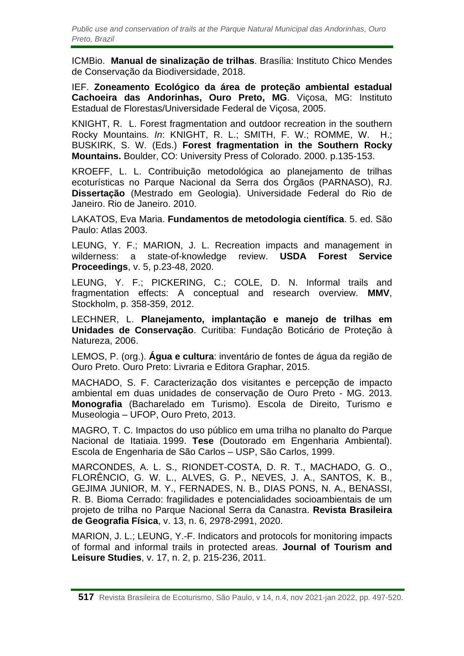ICMBio. **Manual de sinalização de trilhas**. Brasília: Instituto Chico Mendes de Conservação da Biodiversidade, 2018.

IEF. **Zoneamento Ecológico da área de proteção ambiental estadual Cachoeira das Andorinhas, Ouro Preto, MG**. Viçosa, MG: Instituto Estadual de Florestas/Universidade Federal de Viçosa, 2005.

KNIGHT, R. L. Forest fragmentation and outdoor recreation in the southern Rocky Mountains. *In*: KNIGHT, R. L.; SMITH, F. W.; ROMME, W. H.; BUSKIRK, S. W. (Eds.) **Forest fragmentation in the Southern Rocky Mountains.** Boulder, CO: University Press of Colorado. 2000. p.135-153.

KROEFF, L. L. Contribuição metodológica ao planejamento de trilhas ecoturísticas no Parque Nacional da Serra dos Órgãos (PARNASO), RJ. **Dissertação** (Mestrado em Geologia). Universidade Federal do Rio de Janeiro. Rio de Janeiro. 2010.

LAKATOS, Eva Maria. **Fundamentos de metodologia científica**. 5. ed. São Paulo: Atlas 2003.

LEUNG, Y. F.; MARION, J. L. Recreation impacts and management in wilderness: a state-of-knowledge review. **USDA Forest Service Proceedings**, v. 5, p.23-48, 2020.

LEUNG, Y. F.; PICKERING, C.; COLE, D. N. Informal trails and fragmentation effects: A conceptual and research overview. **MMV**, Stockholm, p. 358-359, 2012.

LECHNER, L. **Planejamento, implantação e manejo de trilhas em Unidades de Conservação**. Curitiba: Fundação Boticário de Proteção à Natureza, 2006.

LEMOS, P. (org.). **Água e cultura**: inventário de fontes de água da região de Ouro Preto. Ouro Preto: Livraria e Editora Graphar, 2015.

MACHADO, S. F. Caracterização dos visitantes e percepção de impacto ambiental em duas unidades de conservação de Ouro Preto - MG. 2013. **Monografia** (Bacharelado em Turismo). Escola de Direito, Turismo e Museologia – UFOP, Ouro Preto, 2013.

MAGRO, T. C. Impactos do uso público em uma trilha no planalto do Parque Nacional de Itatiaia. 1999. **Tese** (Doutorado em Engenharia Ambiental). Escola de Engenharia de São Carlos – USP, São Carlos, 1999.

MARCONDES, A. L. S., RIONDET-COSTA, D. R. T., MACHADO, G. O., FLORÊNCIO, G. W. L., ALVES, G. P., NEVES, J. A., SANTOS, K. B., GEJIMA JUNIOR, M. Y., FERNADES, N. B., DIAS PONS, N. A., BENASSI, R. B. Bioma Cerrado: fragilidades e potencialidades socioambientais de um projeto de trilha no Parque Nacional Serra da Canastra. **Revista Brasileira de Geografia Física**, v. 13, n. 6, 2978-2991, 2020.

MARION, J. L.; LEUNG, Y.-F. Indicators and protocols for monitoring impacts of formal and informal trails in protected areas. **Journal of Tourism and Leisure Studies**, v. 17, n. 2, p. 215-236, 2011.

**<sup>517</sup>** Revista Brasileira de Ecoturismo, São Paulo, v 14, n.4, nov 2021-jan 2022, pp. 497-520.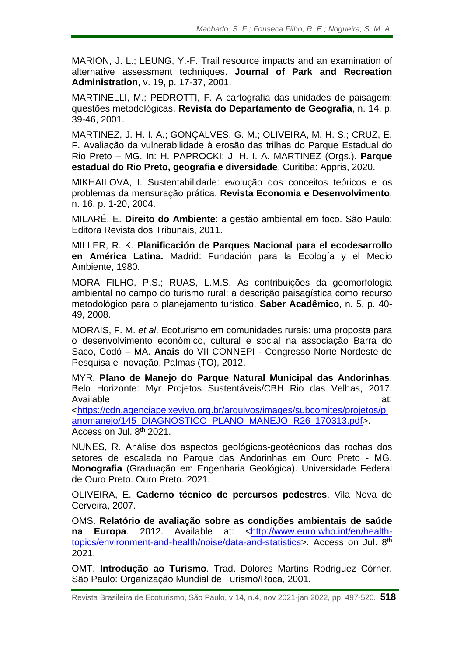MARION, J. L.; LEUNG, Y.-F. Trail resource impacts and an examination of alternative assessment techniques. **Journal of Park and Recreation Administration**, v. 19, p. 17-37, 2001.

MARTINELLI, M.; PEDROTTI, F. A cartografia das unidades de paisagem: questões metodológicas. **Revista do Departamento de Geografia**, n. 14, p. 39-46, 2001.

MARTINEZ, J. H. I. A.; GONÇALVES, G. M.; OLIVEIRA, M. H. S.; CRUZ, E. F. Avaliação da vulnerabilidade à erosão das trilhas do Parque Estadual do Rio Preto – MG. In: H. PAPROCKI; J. H. I. A. MARTINEZ (Orgs.). **Parque estadual do Rio Preto, geografia e diversidade**. Curitiba: Appris, 2020.

MIKHAILOVA, I. Sustentabilidade: evolução dos conceitos teóricos e os problemas da mensuração prática. **Revista Economia e Desenvolvimento**, n. 16, p. 1-20, 2004.

MILARÉ, E. **Direito do Ambiente**: a gestão ambiental em foco. São Paulo: Editora Revista dos Tribunais, 2011.

MILLER, R. K. **Planificación de Parques Nacional para el ecodesarrollo en América Latina.** Madrid: Fundación para la Ecología y el Medio Ambiente, 1980.

MORA FILHO, P.S.; RUAS, L.M.S. As contribuições da geomorfologia ambiental no campo do turismo rural: a descrição paisagística como recurso metodológico para o planejamento turístico. **Saber Acadêmico**, n. 5, p. 40- 49, 2008.

MORAIS, F. M. *et al*. Ecoturismo em comunidades rurais: uma proposta para o desenvolvimento econômico, cultural e social na associação Barra do Saco, Codó – MA. **Anais** do VII CONNEPI - Congresso Norte Nordeste de Pesquisa e Inovação, Palmas (TO), 2012.

MYR. **Plano de Manejo do Parque Natural Municipal das Andorinhas**. Belo Horizonte: Myr Projetos Sustentáveis/CBH Rio das Velhas, 2017. Available at:

[<https://cdn.agenciapeixevivo.org.br/arquivos/images/subcomites/projetos/pl](https://cdn.agenciapeixevivo.org.br/arquivos/images/subcomites/projetos/planomanejo/145_DIAGNOSTICO_PLANO_MANEJO_R26_170313.pdf) [anomanejo/145\\_DIAGNOSTICO\\_PLANO\\_MANEJO\\_R26\\_170313.pdf>](https://cdn.agenciapeixevivo.org.br/arquivos/images/subcomites/projetos/planomanejo/145_DIAGNOSTICO_PLANO_MANEJO_R26_170313.pdf). Access on Jul. 8<sup>th</sup> 2021.

NUNES, R. Análise dos aspectos geológicos-geotécnicos das rochas dos setores de escalada no Parque das Andorinhas em Ouro Preto - MG. **Monografia** (Graduação em Engenharia Geológica). Universidade Federal de Ouro Preto. Ouro Preto. 2021.

OLIVEIRA, E. **Caderno técnico de percursos pedestres**. Vila Nova de Cerveira, 2007.

OMS. **Relatório de avaliação sobre as condições ambientais de saúde na Europa**. 2012. Available at: [<http://www.euro.who.int/en/health](http://www.euro.who.int/en/health-topics/environment-and-health/noise/data-and-statistics)[topics/environment-and-health/noise/data-and-statistics>](http://www.euro.who.int/en/health-topics/environment-and-health/noise/data-and-statistics). Access on Jul. 8<sup>th</sup> 2021.

OMT. **Introdução ao Turismo**. Trad. Dolores Martins Rodriguez Córner. São Paulo: Organização Mundial de Turismo/Roca, 2001.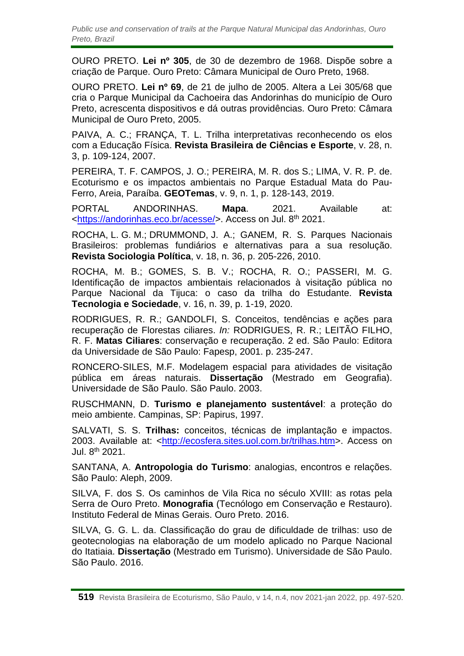OURO PRETO. **Lei nº 305**, de 30 de dezembro de 1968. Dispõe sobre a criação de Parque. Ouro Preto: Câmara Municipal de Ouro Preto, 1968.

OURO PRETO. **Lei nº 69**, de 21 de julho de 2005. Altera a Lei 305/68 que cria o Parque Municipal da Cachoeira das Andorinhas do município de Ouro Preto, acrescenta dispositivos e dá outras providências. Ouro Preto: Câmara Municipal de Ouro Preto, 2005.

PAIVA, A. C.; FRANÇA, T. L. Trilha interpretativas reconhecendo os elos com a Educação Física. **Revista Brasileira de Ciências e Esporte**, v. 28, n. 3, p. 109-124, 2007.

PEREIRA, T. F. CAMPOS, J. O.; PEREIRA, M. R. dos S.; LIMA, V. R. P. de. Ecoturismo e os impactos ambientais no Parque Estadual Mata do Pau-Ferro, Areia, Paraíba. **GEOTemas**, v. 9, n. 1, p. 128-143, 2019.

PORTAL ANDORINHAS. **Mapa**. 2021. Available at: [<https://andorinhas.eco.br/acesse/>](https://andorinhas.eco.br/acesse/). Access on Jul. 8<sup>th</sup> 2021.

ROCHA, L. G. M.; DRUMMOND, J. A.; GANEM, R. S. Parques Nacionais Brasileiros: problemas fundiários e alternativas para a sua resolução. **Revista Sociologia Política**, v. 18, n. 36, p. 205-226, 2010.

ROCHA, M. B.; GOMES, S. B. V.; ROCHA, R. O.; PASSERI, M. G. Identificação de impactos ambientais relacionados à visitação pública no Parque Nacional da Tijuca: o caso da trilha do Estudante. **Revista Tecnologia e Sociedade**, v. 16, n. 39, p. 1-19, 2020.

RODRIGUES, R. R.; GANDOLFI, S. Conceitos, tendências e ações para recuperação de Florestas ciliares. *In:* RODRIGUES, R. R.; LEITÃO FILHO, R. F. **Matas Ciliares**: conservação e recuperação. 2 ed. São Paulo: Editora da Universidade de São Paulo: Fapesp, 2001. p. 235-247.

RONCERO-SILES, M.F. Modelagem espacial para atividades de visitação pública em áreas naturais. **Dissertação** (Mestrado em Geografia). Universidade de São Paulo. São Paulo. 2003.

RUSCHMANN, D. **Turismo e planejamento sustentável**: a proteção do meio ambiente. Campinas, SP: Papirus, 1997.

SALVATI, S. S. **Trilhas:** conceitos, técnicas de implantação e impactos. 2003. Available at: [<http://ecosfera.sites.uol.com.br/trilhas.htm>](http://ecosfera.sites.uol.com.br/trilhas.htm). Access on Jul. 8<sup>th</sup> 2021.

SANTANA, A. **Antropologia do Turismo**: analogias, encontros e relações. São Paulo: Aleph, 2009.

SILVA, F. dos S. Os caminhos de Vila Rica no século XVIII: as rotas pela Serra de Ouro Preto. **Monografia** (Tecnólogo em Conservação e Restauro). Instituto Federal de Minas Gerais. Ouro Preto. 2016.

SILVA, G. G. L. da. Classificação do grau de dificuldade de trilhas: uso de geotecnologias na elaboração de um modelo aplicado no Parque Nacional do Itatiaia. **Dissertação** (Mestrado em Turismo). Universidade de São Paulo. São Paulo. 2016.

**<sup>519</sup>** Revista Brasileira de Ecoturismo, São Paulo, v 14, n.4, nov 2021-jan 2022, pp. 497-520.